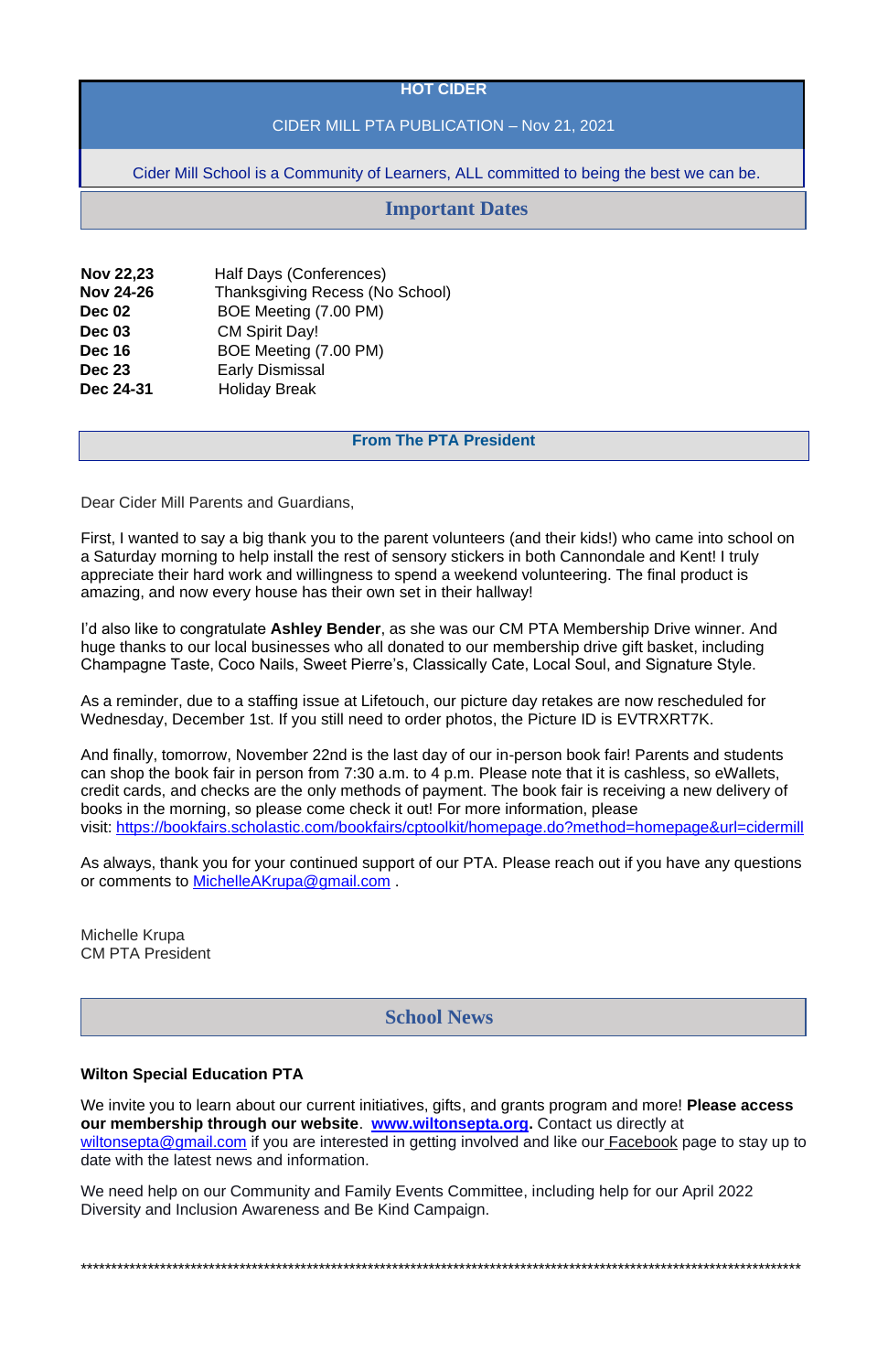## **HOT CIDER**

## CIDER MILL PTA PUBLICATION – Nov 21, 2021

Cider Mill School is a Community of Learners, ALL committed to being the best we can be.

| <b>Nov 22,23</b> | Half Days (Conferences)                |
|------------------|----------------------------------------|
| <b>Nov 24-26</b> | <b>Thanksgiving Recess (No School)</b> |
| <b>Dec 02</b>    | BOE Meeting (7.00 PM)                  |
| <b>Dec 03</b>    | <b>CM Spirit Day!</b>                  |
| <b>Dec 16</b>    | BOE Meeting (7.00 PM)                  |
| <b>Dec 23</b>    | <b>Early Dismissal</b>                 |
| Dec 24-31        | <b>Holiday Break</b>                   |

## **From The PTA President**

Dear Cider Mill Parents and Guardians,

First, I wanted to say a big thank you to the parent volunteers (and their kids!) who came into school on a Saturday morning to help install the rest of sensory stickers in both Cannondale and Kent! I truly appreciate their hard work and willingness to spend a weekend volunteering. The final product is amazing, and now every house has their own set in their hallway!

I'd also like to congratulate **Ashley Bender**, as she was our CM PTA Membership Drive winner. And huge thanks to our local businesses who all donated to our membership drive gift basket, including Champagne Taste, Coco Nails, Sweet Pierre's, Classically Cate, Local Soul, and Signature Style.

As a reminder, due to a staffing issue at Lifetouch, our picture day retakes are now rescheduled for Wednesday, December 1st. If you still need to order photos, the Picture ID is EVTRXRT7K.

And finally, tomorrow, November 22nd is the last day of our in-person book fair! Parents and students can shop the book fair in person from 7:30 a.m. to 4 p.m. Please note that it is cashless, so eWallets, credit cards, and checks are the only methods of payment. The book fair is receiving a new delivery of books in the morning, so please come check it out! For more information, please visit: <https://bookfairs.scholastic.com/bookfairs/cptoolkit/homepage.do?method=homepage&url=cidermill>

As always, thank you for your continued support of our PTA. Please reach out if you have any questions or comments to [MichelleAKrupa@gmail.com](mailto:MichelleAKrupa@gmail.com) .

Michelle Krupa CM PTA President

#### **Wilton Special Education PTA**

We invite you to learn about our current initiatives, gifts, and grants program and more! **Please access our membership through our website**. **[www.wiltonsepta.org.](https://www.wiltonsepta.org/projecto-5)** Contact us directly at [wiltonsepta@gmail.com](mailto:wiltonsepta@gmail.com) if you are interested in getting involved and like our [Facebook](https://www.facebook.com/WiltonSEPTA) page to stay up to date with the latest news and information.

We need help on our Community and Family Events Committee, including help for our April 2022 Diversity and Inclusion Awareness and Be Kind Campaign.

\*\*\*\*\*\*\*\*\*\*\*\*\*\*\*\*\*\*\*\*\*\*\*\*\*\*\*\*\*\*\*\*\*\*\*\*\*\*\*\*\*\*\*\*\*\*\*\*\*\*\*\*\*\*\*\*\*\*\*\*\*\*\*\*\*\*\*\*\*\*\*\*\*\*\*\*\*\*\*\*\*\*\*\*\*\*\*\*\*\*\*\*\*\*\*\*\*\*\*\*\*\*\*\*\*\*\*\*\*\*\*\*\*\*\*\*\*\*

# **Important Dates**

## **School News**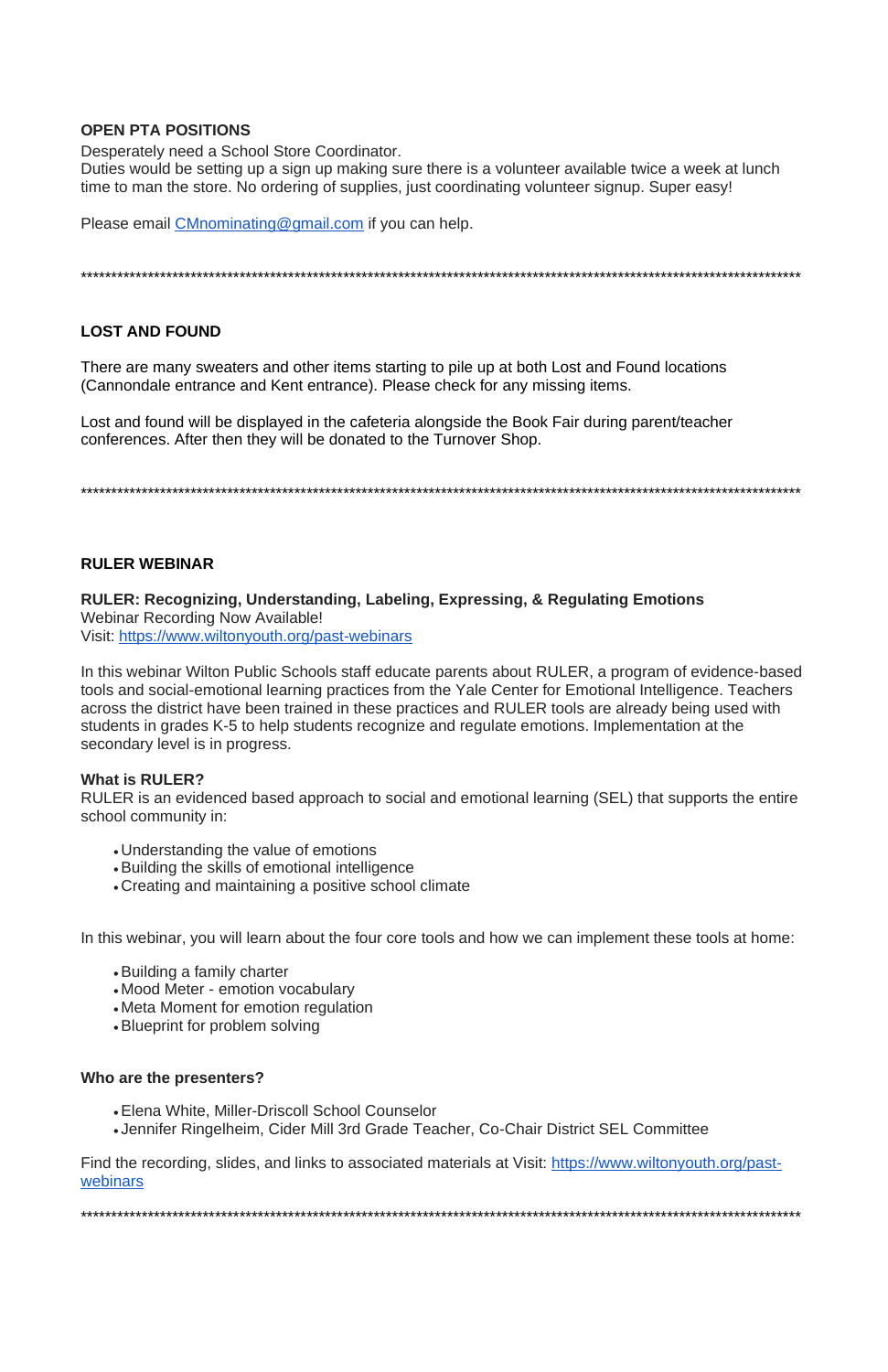## **OPEN PTA POSITIONS**

Desperately need a School Store Coordinator.

Duties would be setting up a sign up making sure there is a volunteer available twice a week at lunch time to man the store. No ordering of supplies, just coordinating volunteer signup. Super easy!

Please email CMnominating@gmail.com if you can help.

## **LOST AND FOUND**

There are many sweaters and other items starting to pile up at both Lost and Found locations (Cannondale entrance and Kent entrance). Please check for any missing items.

Lost and found will be displayed in the cafeteria alongside the Book Fair during parent/teacher conferences. After then they will be donated to the Turnover Shop.

## **RULER WEBINAR**

RULER: Recognizing, Understanding, Labeling, Expressing, & Regulating Emotions **Webinar Recording Now Available!** Visit: https://www.wiltonyouth.org/past-webinars

In this webinar Wilton Public Schools staff educate parents about RULER, a program of evidence-based tools and social-emotional learning practices from the Yale Center for Emotional Intelligence. Teachers across the district have been trained in these practices and RULER tools are already being used with students in grades K-5 to help students recognize and regulate emotions. Implementation at the secondary level is in progress.

## **What is RULER?**

RULER is an evidenced based approach to social and emotional learning (SEL) that supports the entire school community in:

- Understanding the value of emotions
- Building the skills of emotional intelligence
- Creating and maintaining a positive school climate

In this webinar, you will learn about the four core tools and how we can implement these tools at home:

- Building a family charter
- Mood Meter emotion vocabulary
- Meta Moment for emotion regulation
- 
- Blueprint for problem solving

#### Who are the presenters?

• Elena White, Miller-Driscoll School Counselor

• Jennifer Ringelheim, Cider Mill 3rd Grade Teacher, Co-Chair District SEL Committee

Find the recording, slides, and links to associated materials at Visit: https://www.wiltonyouth.org/pastwebinars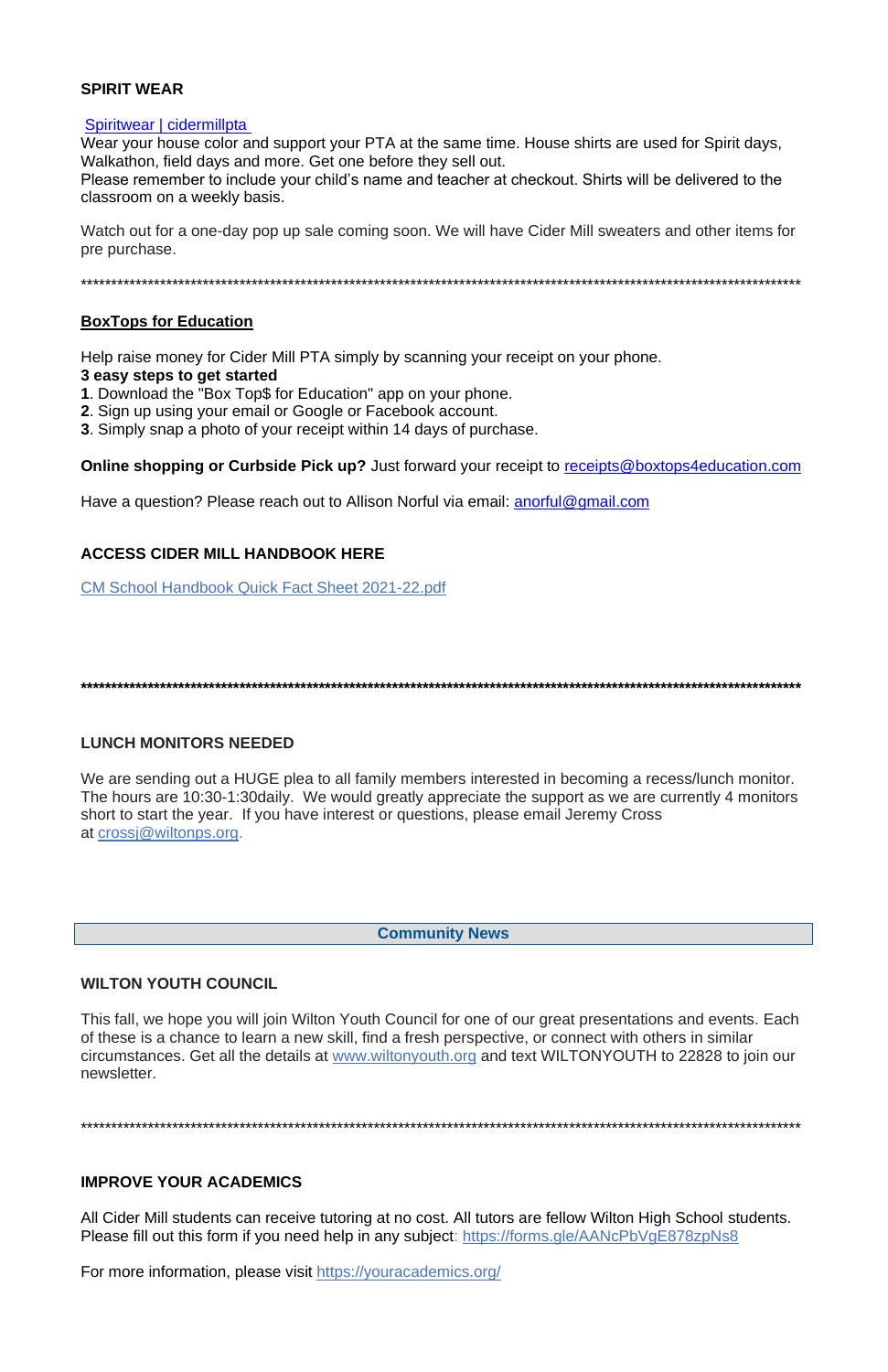## **SPIRIT WEAR**

### Spiritwear | cidermillpta

Wear your house color and support your PTA at the same time. House shirts are used for Spirit days, Walkathon, field days and more. Get one before they sell out.

Please remember to include your child's name and teacher at checkout. Shirts will be delivered to the classroom on a weekly basis.

Watch out for a one-day pop up sale coming soon. We will have Cider Mill sweaters and other items for pre purchase.

## **BoxTops for Education**

Help raise money for Cider Mill PTA simply by scanning your receipt on your phone.

#### 3 easy steps to get started

- 1. Download the "Box Top\$ for Education" app on your phone.
- 2. Sign up using your email or Google or Facebook account.
- 3. Simply snap a photo of your receipt within 14 days of purchase.

**Online shopping or Curbside Pick up?** Just forward your receipt to receipts@boxtops4education.com

Have a question? Please reach out to Allison Norful via email: anorful@gmail.com

## **ACCESS CIDER MILL HANDBOOK HERE**

**CM School Handbook Quick Fact Sheet 2021-22.pdf** 

## **LUNCH MONITORS NEEDED**

We are sending out a HUGE plea to all family members interested in becoming a recess/lunch monitor. The hours are 10:30-1:30 daily. We would greatly appreciate the support as we are currently 4 monitors short to start the year. If you have interest or questions, please email Jeremy Cross at crossi@wiltonps.org.

**Community News** 

**WILTON YOUTH COUNCIL** 

This fall, we hope you will join Wilton Youth Council for one of our great presentations and events. Each of these is a chance to learn a new skill, find a fresh perspective, or connect with others in similar circumstances. Get all the details at www.wiltonyouth.org and text WILTONYOUTH to 22828 to join our newsletter.

## **IMPROVE YOUR ACADEMICS**

All Cider Mill students can receive tutoring at no cost. All tutors are fellow Wilton High School students. Please fill out this form if you need help in any subject: https://forms.gle/AANcPbVgE878zpNs8

For more information, please visit https://youracademics.org/